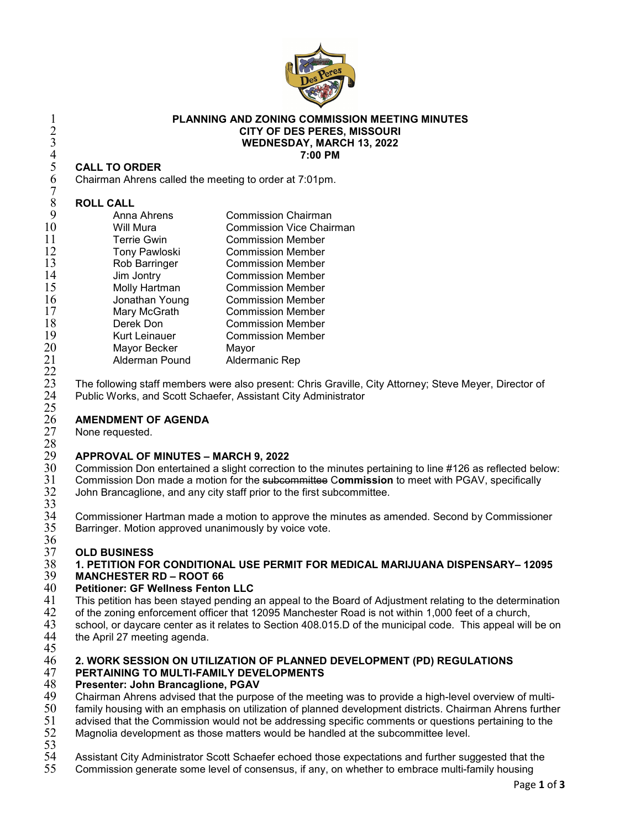

#### **PLANNING AND ZONING COMMISSION MEETING MINUTES CITY OF DES PERES, MISSOURI WEDNESDAY, MARCH 13, 2022 7:00 PM**

### **CALL TO ORDER**

Chairman Ahrens called the meeting to order at 7:01pm.

#### **ROLL CALL**

 $\frac{22}{23}$ 

 $\frac{25}{26}$ 

| 9  | Anna Ahrens          | <b>Commission Chairman</b>      |
|----|----------------------|---------------------------------|
| 10 | Will Mura            | <b>Commission Vice Chairman</b> |
| 11 | <b>Terrie Gwin</b>   | <b>Commission Member</b>        |
| 12 | <b>Tony Pawloski</b> | <b>Commission Member</b>        |
| 13 | Rob Barringer        | <b>Commission Member</b>        |
| 14 | Jim Jontry           | <b>Commission Member</b>        |
| 15 | Molly Hartman        | <b>Commission Member</b>        |
| 16 | Jonathan Young       | <b>Commission Member</b>        |
| 17 | Mary McGrath         | <b>Commission Member</b>        |
| 18 | Derek Don            | <b>Commission Member</b>        |
| 19 | <b>Kurt Leinauer</b> | <b>Commission Member</b>        |
| 20 | Mayor Becker         | Mayor                           |
| 21 | Alderman Pound       | Aldermanic Rep                  |
|    |                      |                                 |

23 The following staff members were also present: Chris Graville, City Attorney; Steve Meyer, Director of 24 Public Works, and Scott Schaefer, Assistant City Administrator Public Works, and Scott Schaefer, Assistant City Administrator

## **AMENDMENT OF AGENDA**

None requested.

### **APPROVAL OF MINUTES – MARCH 9, 2022**

30 Commission Don entertained a slight correction to the minutes pertaining to line #126 as reflected below:<br>31 Commission Don made a motion for the subcommittee Commission to meet with PGAV, specifically Commission Don made a motion for the subcommittee C**ommission** to meet with PGAV, specifically John Brancaglione, and any city staff prior to the first subcommittee.

 $\frac{32}{33}$ <br> $\frac{33}{34}$ 34 Commissioner Hartman made a motion to approve the minutes as amended. Second by Commissioner<br>35 Barringer. Motion approved unanimously by voice vote. Barringer. Motion approved unanimously by voice vote.

### 36<br>37

### **OLD BUSINESS 1. PETITION FOR CONDITIONAL USE PERMIT FOR MEDICAL MARIJUANA DISPENSARY– 12095**

## **MANCHESTER RD – ROOT 66**

- **Petitioner: GF Wellness Fenton LLC** 41 This petition has been stayed pending an appeal to the Board of Adjustment relating to the determination<br>42 of the zoning enforcement officer that 12095 Manchester Road is not within 1.000 feet of a church.
- 42 of the zoning enforcement officer that 12095 Manchester Road is not within 1,000 feet of a church,<br>43 school, or daycare center as it relates to Section 408.015.D of the municipal code. This appeal will
- school, or daycare center as it relates to Section 408.015.D of the municipal code. This appeal will be on
- the April 27 meeting agenda.

### 45<br>46 **2. WORK SESSION ON UTILIZATION OF PLANNED DEVELOPMENT (PD) REGULATIONS**

## **PERTAINING TO MULTI-FAMILY DEVELOPMENTS**

## **Presenter: John Brancaglione, PGAV**

- 49 Chairman Ahrens advised that the purpose of the meeting was to provide a high-level overview of multi-<br>50 family housing with an emphasis on utilization of planned development districts. Chairman Ahrens furthe
- 50 family housing with an emphasis on utilization of planned development districts. Chairman Ahrens further<br>51 advised that the Commission would not be addressing specific comments or questions pertaining to the
- 
- 51 advised that the Commission would not be addressing specific comments or questions pertaining to the 52 Magnolia development as those matters would be handled at the subcommittee level. Magnolia development as those matters would be handled at the subcommittee level.
- 53<br>54
- Assistant City Administrator Scott Schaefer echoed those expectations and further suggested that the
- Commission generate some level of consensus, if any, on whether to embrace multi-family housing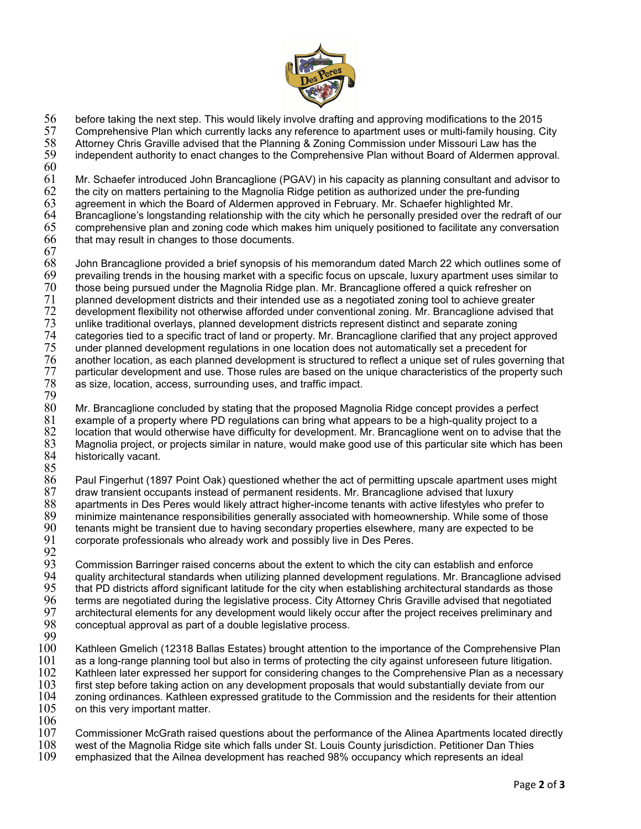

56 before taking the next step. This would likely involve drafting and approving modifications to the 2015

57 Comprehensive Plan which currently lacks any reference to apartment uses or multi-family housing. City<br>58 Attorney Chris Graville advised that the Planning & Zoning Commission under Missouri Law has the

58 Attorney Chris Graville advised that the Planning & Zoning Commission under Missouri Law has the independent authority to enact changes to the Comprehensive Plan without Board of Aldermen approval.

 $\frac{60}{61}$ 

61 Mr. Schaefer introduced John Brancaglione (PGAV) in his capacity as planning consultant and advisor to 62 the city on matters pertaining to the Magnolia Ridge petition as authorized under the pre-funding

 $62$  the city on matters pertaining to the Magnolia Ridge petition as authorized under the pre-funding  $63$  agreement in which the Board of Aldermen approved in February. Mr. Schaefer highlighted Mr.

- 63 agreement in which the Board of Aldermen approved in February. Mr. Schaefer highlighted Mr.
- 64 Brancaglione's longstanding relationship with the city which he personally presided over the redraft of our<br>65 comprehensive plan and zoning code which makes him uniquely positioned to facilitate any conversation  $65$  comprehensive plan and zoning code which makes him uniquely positioned to facilitate any conversation<br> $66$  that may result in changes to those documents. that may result in changes to those documents.
- 

 $\begin{array}{c} 67 \\ 68 \end{array}$  $68$  John Brancaglione provided a brief synopsis of his memorandum dated March 22 which outlines some of  $69$  prevalling trends in the housing market with a specific focus on upscale. Iuxury apartment uses similar to  $69$  prevailing trends in the housing market with a specific focus on upscale, luxury apartment uses similar to  $70$  those being pursued under the Magnolia Ridge plan. Mr. Brancaglione offered a quick refresher on 70 those being pursued under the Magnolia Ridge plan. Mr. Brancaglione offered a quick refresher on<br>71 planned development districts and their intended use as a negotiated zoning tool to achieve greater 71 planned development districts and their intended use as a negotiated zoning tool to achieve greater<br>72 development flexibility not otherwise afforded under conventional zoning. Mr. Brancaglione advised t 72 development flexibility not otherwise afforded under conventional zoning. Mr. Brancaglione advised that 73<br>73 unlike traditional overlays, planned development districts represent distinct and separate zoning 73 unlike traditional overlays, planned development districts represent distinct and separate zoning<br>74 categories tied to a specific tract of land or property. Mr. Brancaglione clarified that any project a 74 categories tied to a specific tract of land or property. Mr. Brancaglione clarified that any project approved<br>75 under planned development regulations in one location does not automatically set a precedent for 75 under planned development regulations in one location does not automatically set a precedent for<br>76 another location, as each planned development is structured to reflect a unique set of rules govern 76 another location, as each planned development is structured to reflect a unique set of rules governing that<br>77 particular development and use. Those rules are based on the unique characteristics of the property such  $77$  particular development and use. Those rules are based on the unique characteristics of the property such  $78$  as size, location, access, surrounding uses, and traffic impact. as size, location, access, surrounding uses, and traffic impact.

79  $80$  Mr. Brancaglione concluded by stating that the proposed Magnolia Ridge concept provides a perfect 8. Station 8. Stations and the proports and  $81$  example of a proporty where PD requiations can bring what appears to 81 example of a property where PD regulations can bring what appears to be a high-quality project to a 82 location that would otherwise have difficulty for development. Mr. Brancaglione went on to advise that the<br>83 Magnolia project, or projects similar in nature, would make good use of this particular site which has been 83 Magnolia project, or projects similar in nature, would make good use of this particular site which has been historically vacant.

- 85<br>86 86 Paul Fingerhut (1897 Point Oak) questioned whether the act of permitting upscale apartment uses might  $87$  draw transient occupants instead of permanent residents. Mr. Brancaglione advised that luxury<br> $88$  apartments in Des Peres would likelv attract higher-income tenants with active lifestyles who pre 88 apartments in Des Peres would likely attract higher-income tenants with active lifestyles who prefer to  $89$  minimize maintenance responsibilities generally associated with homeownership. While some of those  $90$  tenants might be transient due to having secondary properties elsewhere, many are expected to be 90 tenants might be transient due to having secondary properties elsewhere, many are expected to be corporate professionals who already work and possibly live in Des Peres.
- 

92<br>93 93 Commission Barringer raised concerns about the extent to which the city can establish and enforce 94 — quality architectural standards when utilizing planned development regulations. Mr. Brancaglione advised<br>95 — that PD districts afford significant latitude for the city when establishing architectural standards as tho  $95$  that PD districts afford significant latitude for the city when establishing architectural standards as those<br> $96$  terms are negotiated during the legislative process. City Attorney Chris Graville advised that negoti 96 terms are negotiated during the legislative process. City Attorney Chris Graville advised that negotiated 97 architectural elements for any development would likely occur after the project receives preliminary and 98 conceptual approval as part of a double legislative process. 98 conceptual approval as part of a double legislative process.

- $\frac{99}{100}$ Kathleen Gmelich (12318 Ballas Estates) brought attention to the importance of the Comprehensive Plan  $101$  as a long-range planning tool but also in terms of protecting the city against unforeseen future litigation.<br> $102$  Kathleen later expressed her support for considering changes to the Comprehensive Plan as a necessa 102 Kathleen later expressed her support for considering changes to the Comprehensive Plan as a necessary<br>103 first step before taking action on any development proposals that would substantially deviate from our  $103$  first step before taking action on any development proposals that would substantially deviate from our  $104$  zoning ordinances. Kathleen expressed gratitude to the Commission and the residents for their attentic 104 zoning ordinances. Kathleen expressed gratitude to the Commission and the residents for their attention<br>105 on this very important matter. on this very important matter.
- $\frac{106}{107}$

 $107$   $\,$  Commissioner McGrath raised questions about the performance of the Alinea Apartments located directly  $108$   $\,$  west of the Magnolia Ridge site which falls under St. Louis County iurisdiction. Petitioner Dan T

- $108$  west of the Magnolia Ridge site which falls under St. Louis County jurisdiction. Petitioner Dan Thies<br>109 emphasized that the Ailnea development has reached 98% occupancy which represents an ideal
- emphasized that the Ailnea development has reached 98% occupancy which represents an ideal